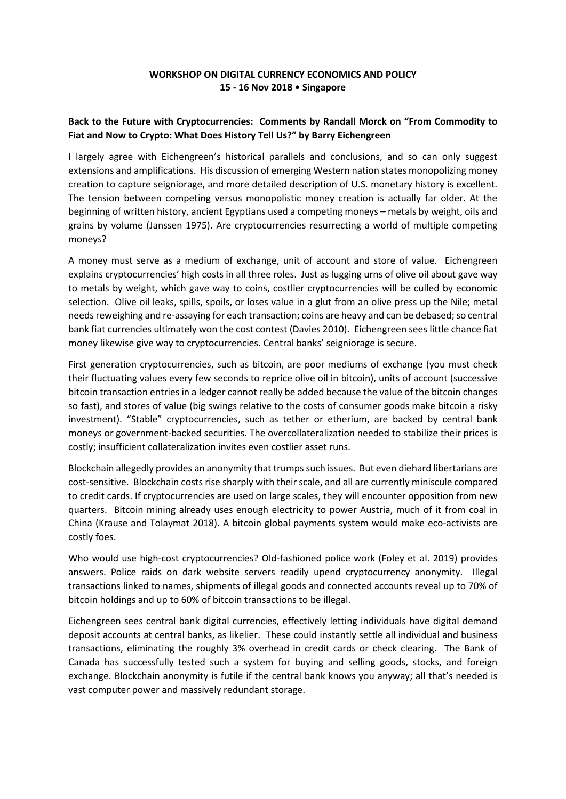## **WORKSHOP ON DIGITAL CURRENCY ECONOMICS AND POLICY 15 - 16 Nov 2018 • Singapore**

## **Back to the Future with Cryptocurrencies: Comments by Randall Morck on "From Commodity to Fiat and Now to Crypto: What Does History Tell Us?" by Barry Eichengreen**

I largely agree with Eichengreen's historical parallels and conclusions, and so can only suggest extensions and amplifications. His discussion of emerging Western nation states monopolizing money creation to capture seigniorage, and more detailed description of U.S. monetary history is excellent. The tension between competing versus monopolistic money creation is actually far older. At the beginning of written history, ancient Egyptians used a competing moneys – metals by weight, oils and grains by volume (Janssen 1975). Are cryptocurrencies resurrecting a world of multiple competing moneys?

A money must serve as a medium of exchange, unit of account and store of value. Eichengreen explains cryptocurrencies' high costs in all three roles. Just as lugging urns of olive oil about gave way to metals by weight, which gave way to coins, costlier cryptocurrencies will be culled by economic selection. Olive oil leaks, spills, spoils, or loses value in a glut from an olive press up the Nile; metal needs reweighing and re-assaying for each transaction; coins are heavy and can be debased; so central bank fiat currencies ultimately won the cost contest (Davies 2010). Eichengreen sees little chance fiat money likewise give way to cryptocurrencies. Central banks' seigniorage is secure.

First generation cryptocurrencies, such as bitcoin, are poor mediums of exchange (you must check their fluctuating values every few seconds to reprice olive oil in bitcoin), units of account (successive bitcoin transaction entries in a ledger cannot really be added because the value of the bitcoin changes so fast), and stores of value (big swings relative to the costs of consumer goods make bitcoin a risky investment). "Stable" cryptocurrencies, such as tether or etherium, are backed by central bank moneys or government-backed securities. The overcollateralization needed to stabilize their prices is costly; insufficient collateralization invites even costlier asset runs.

Blockchain allegedly provides an anonymity that trumps such issues. But even diehard libertarians are cost-sensitive. Blockchain costs rise sharply with their scale, and all are currently miniscule compared to credit cards. If cryptocurrencies are used on large scales, they will encounter opposition from new quarters. Bitcoin mining already uses enough electricity to power Austria, much of it from coal in China (Krause and Tolaymat 2018). A bitcoin global payments system would make eco-activists are costly foes.

Who would use high-cost cryptocurrencies? Old-fashioned police work (Foley et al. 2019) provides answers. Police raids on dark website servers readily upend cryptocurrency anonymity. Illegal transactions linked to names, shipments of illegal goods and connected accounts reveal up to 70% of bitcoin holdings and up to 60% of bitcoin transactions to be illegal.

Eichengreen sees central bank digital currencies, effectively letting individuals have digital demand deposit accounts at central banks, as likelier. These could instantly settle all individual and business transactions, eliminating the roughly 3% overhead in credit cards or check clearing. The Bank of Canada has successfully tested such a system for buying and selling goods, stocks, and foreign exchange. Blockchain anonymity is futile if the central bank knows you anyway; all that's needed is vast computer power and massively redundant storage.